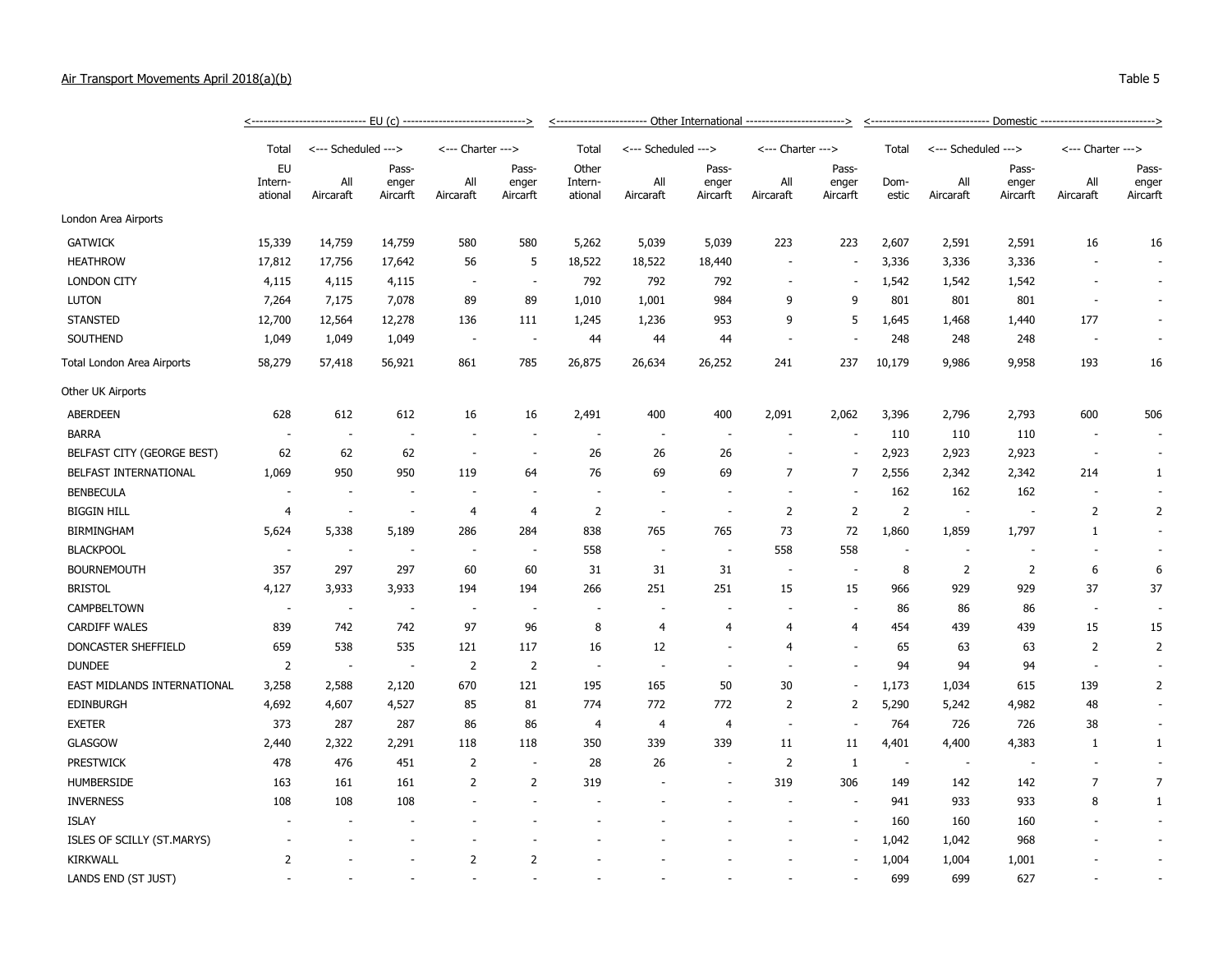## Air Transport Movements April 2018(a)(b) Table 5

|                             | Total                    | <--- Scheduled --->      |                            | <--- Charter --->        |                            | Total                       | <--- Scheduled --->      |                            | <--- Charter --->        |                            | Total                    | <--- Scheduled ---> |                            | <--- Charter --->        |                            |
|-----------------------------|--------------------------|--------------------------|----------------------------|--------------------------|----------------------------|-----------------------------|--------------------------|----------------------------|--------------------------|----------------------------|--------------------------|---------------------|----------------------------|--------------------------|----------------------------|
|                             | EU<br>Intern-<br>ational | All<br>Aircaraft         | Pass-<br>enger<br>Aircarft | All<br>Aircaraft         | Pass-<br>enger<br>Aircarft | Other<br>Intern-<br>ational | All<br>Aircaraft         | Pass-<br>enger<br>Aircarft | All<br>Aircaraft         | Pass-<br>enger<br>Aircarft | Dom-<br>estic            | All<br>Aircaraft    | Pass-<br>enger<br>Aircarft | All<br>Aircaraft         | Pass-<br>enger<br>Aircarft |
| London Area Airports        |                          |                          |                            |                          |                            |                             |                          |                            |                          |                            |                          |                     |                            |                          |                            |
| <b>GATWICK</b>              | 15,339                   | 14,759                   | 14,759                     | 580                      | 580                        | 5,262                       | 5,039                    | 5,039                      | 223                      | 223                        | 2,607                    | 2,591               | 2,591                      | 16                       | 16                         |
| <b>HEATHROW</b>             | 17,812                   | 17,756                   | 17,642                     | 56                       | 5                          | 18,522                      | 18,522                   | 18,440                     | $\overline{\phantom{a}}$ |                            | 3,336                    | 3,336               | 3,336                      |                          |                            |
| <b>LONDON CITY</b>          | 4,115                    | 4,115                    | 4,115                      |                          | $\overline{\phantom{a}}$   | 792                         | 792                      | 792                        | $\overline{\phantom{a}}$ |                            | 1,542                    | 1,542               | 1,542                      |                          |                            |
| <b>LUTON</b>                | 7,264                    | 7,175                    | 7,078                      | 89                       | 89                         | 1,010                       | 1,001                    | 984                        | 9                        | 9                          | 801                      | 801                 | 801                        | $\overline{\phantom{a}}$ |                            |
| <b>STANSTED</b>             | 12,700                   | 12,564                   | 12,278                     | 136                      | 111                        | 1,245                       | 1,236                    | 953                        | 9                        | 5                          | 1,645                    | 1,468               | 1,440                      | 177                      |                            |
| SOUTHEND                    | 1,049                    | 1,049                    | 1,049                      | $\overline{\phantom{a}}$ | $\overline{\phantom{a}}$   | 44                          | 44                       | 44                         | ÷,                       |                            | 248                      | 248                 | 248                        | $\overline{\phantom{a}}$ |                            |
| Total London Area Airports  | 58,279                   | 57,418                   | 56,921                     | 861                      | 785                        | 26,875                      | 26,634                   | 26,252                     | 241                      | 237                        | 10,179                   | 9,986               | 9,958                      | 193                      | 16                         |
| Other UK Airports           |                          |                          |                            |                          |                            |                             |                          |                            |                          |                            |                          |                     |                            |                          |                            |
| <b>ABERDEEN</b>             | 628                      | 612                      | 612                        | 16                       | 16                         | 2,491                       | 400                      | 400                        | 2,091                    | 2,062                      | 3,396                    | 2,796               | 2,793                      | 600                      | 506                        |
| <b>BARRA</b>                | $\overline{\phantom{a}}$ | $\overline{\phantom{a}}$ |                            |                          | ٠                          | $\sim$                      |                          |                            |                          |                            | 110                      | 110                 | 110                        | $\overline{\phantom{a}}$ |                            |
| BELFAST CITY (GEORGE BEST)  | 62                       | 62                       | 62                         | $\sim$                   | $\overline{\phantom{a}}$   | 26                          | 26                       | 26                         | ÷,                       |                            | 2,923                    | 2,923               | 2,923                      | $\overline{\phantom{a}}$ |                            |
| BELFAST INTERNATIONAL       | 1,069                    | 950                      | 950                        | 119                      | 64                         | 76                          | 69                       | 69                         | $\overline{7}$           | $\overline{7}$             | 2,556                    | 2,342               | 2,342                      | 214                      | 1                          |
| <b>BENBECULA</b>            | $\overline{\phantom{a}}$ | ÷.                       |                            |                          | ä,                         | $\overline{\phantom{a}}$    |                          |                            |                          |                            | 162                      | 162                 | 162                        | $\overline{\phantom{a}}$ |                            |
| <b>BIGGIN HILL</b>          | $\overline{4}$           | $\overline{\phantom{a}}$ | $\overline{\phantom{a}}$   | $\overline{4}$           | $\overline{4}$             | $\overline{2}$              |                          | $\sim$                     | $\overline{2}$           | $\overline{2}$             | 2                        | $\sim$              |                            | $\overline{2}$           | $\overline{2}$             |
| <b>BIRMINGHAM</b>           | 5,624                    | 5,338                    | 5,189                      | 286                      | 284                        | 838                         | 765                      | 765                        | 73                       | 72                         | 1,860                    | 1,859               | 1,797                      | $\mathbf{1}$             |                            |
| <b>BLACKPOOL</b>            | $\overline{\phantom{a}}$ | $\overline{\phantom{a}}$ |                            |                          |                            | 558                         | $\overline{\phantom{a}}$ | $\overline{\phantom{a}}$   | 558                      | 558                        |                          |                     |                            | $\overline{\phantom{a}}$ |                            |
| <b>BOURNEMOUTH</b>          | 357                      | 297                      | 297                        | 60                       | 60                         | 31                          | 31                       | 31                         | $\overline{\phantom{a}}$ |                            | 8                        | 2                   | 2                          | 6                        | 6                          |
| <b>BRISTOL</b>              | 4,127                    | 3,933                    | 3,933                      | 194                      | 194                        | 266                         | 251                      | 251                        | 15                       | 15                         | 966                      | 929                 | 929                        | 37                       | 37                         |
| CAMPBELTOWN                 | $\sim$                   | $\overline{\phantom{a}}$ |                            |                          | $\overline{\phantom{a}}$   | $\overline{\phantom{a}}$    |                          |                            |                          |                            | 86                       | 86                  | 86                         | $\overline{\phantom{a}}$ |                            |
| <b>CARDIFF WALES</b>        | 839                      | 742                      | 742                        | 97                       | 96                         | 8                           | 4                        | 4                          | 4                        | 4                          | 454                      | 439                 | 439                        | 15                       | 15                         |
| DONCASTER SHEFFIELD         | 659                      | 538                      | 535                        | 121                      | 117                        | 16                          | 12                       |                            | 4                        | ÷,                         | 65                       | 63                  | 63                         | $\overline{2}$           | $\overline{2}$             |
| <b>DUNDEE</b>               | $\overline{2}$           | $\overline{\phantom{a}}$ |                            | $\overline{2}$           | $\overline{2}$             | $\overline{\phantom{a}}$    | $\sim$                   | $\overline{\phantom{a}}$   | $\sim$                   | ÷,                         | 94                       | 94                  | 94                         | $\overline{\phantom{a}}$ |                            |
| EAST MIDLANDS INTERNATIONAL | 3,258                    | 2,588                    | 2,120                      | 670                      | 121                        | 195                         | 165                      | 50                         | 30                       |                            | 1,173                    | 1,034               | 615                        | 139                      | $\overline{2}$             |
| <b>EDINBURGH</b>            | 4,692                    | 4,607                    | 4,527                      | 85                       | 81                         | 774                         | 772                      | 772                        | $\overline{2}$           | $\overline{2}$             | 5,290                    | 5,242               | 4,982                      | 48                       |                            |
| <b>EXETER</b>               | 373                      | 287                      | 287                        | 86                       | 86                         | $\overline{4}$              | 4                        | 4                          | $\overline{\phantom{a}}$ |                            | 764                      | 726                 | 726                        | 38                       |                            |
| <b>GLASGOW</b>              | 2,440                    | 2,322                    | 2,291                      | 118                      | 118                        | 350                         | 339                      | 339                        | 11                       | 11                         | 4,401                    | 4,400               | 4,383                      | $\mathbf{1}$             | 1                          |
| <b>PRESTWICK</b>            | 478                      | 476                      | 451                        | $\overline{2}$           | $\overline{a}$             | 28                          | 26                       | $\blacksquare$             | $\overline{2}$           | $\mathbf{1}$               | $\overline{\phantom{a}}$ |                     |                            |                          |                            |
| HUMBERSIDE                  | 163                      | 161                      | 161                        | 2                        | 2                          | 319                         |                          |                            | 319                      | 306                        | 149                      | 142                 | 142                        | 7                        | $\overline{7}$             |
| <b>INVERNESS</b>            | 108                      | 108                      | 108                        |                          | $\overline{\phantom{a}}$   |                             |                          |                            | ٠                        |                            | 941                      | 933                 | 933                        | 8                        | 1                          |
| <b>ISLAY</b>                |                          |                          |                            |                          |                            |                             |                          |                            |                          | ÷,                         | 160                      | 160                 | 160                        |                          |                            |
| ISLES OF SCILLY (ST.MARYS)  |                          |                          |                            |                          |                            |                             |                          |                            |                          |                            | 1,042                    | 1,042               | 968                        |                          |                            |
| <b>KIRKWALL</b>             | $\overline{2}$           |                          |                            | $\overline{2}$           | $\overline{2}$             |                             |                          |                            |                          |                            | 1,004                    | 1,004               | 1,001                      |                          |                            |
| LANDS END (ST JUST)         |                          |                          |                            |                          |                            |                             |                          |                            |                          |                            | 699                      | 699                 | 627                        |                          |                            |